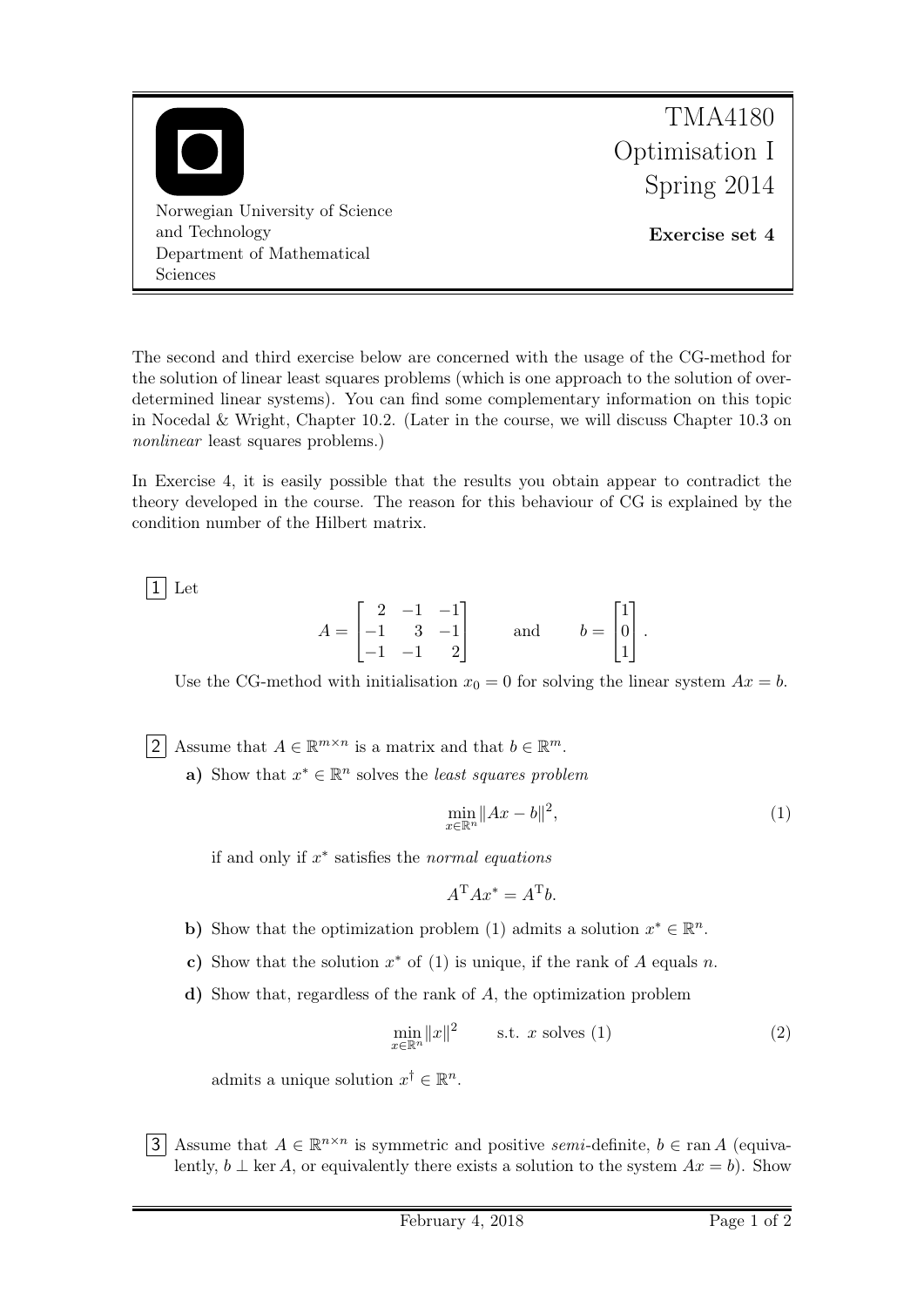

The second and third exercise below are concerned with the usage of the CG-method for the solution of linear least squares problems (which is one approach to the solution of overdetermined linear systems). You can find some complementary information on this topic in Nocedal & Wright, Chapter 10.2. (Later in the course, we will discuss Chapter 10.3 on nonlinear least squares problems.)

In Exercise 4, it is easily possible that the results you obtain appear to contradict the theory developed in the course. The reason for this behaviour of CG is explained by the condition number of the Hilbert matrix.

 $|1|$  Let

$$
A = \begin{bmatrix} 2 & -1 & -1 \\ -1 & 3 & -1 \\ -1 & -1 & 2 \end{bmatrix} \quad \text{and} \quad b = \begin{bmatrix} 1 \\ 0 \\ 1 \end{bmatrix}.
$$

Use the CG-method with initialisation  $x_0 = 0$  for solving the linear system  $Ax = b$ .

2 Assume that  $A \in \mathbb{R}^{m \times n}$  is a matrix and that  $b \in \mathbb{R}^m$ .

a) Show that  $x^* \in \mathbb{R}^n$  solves the *least squares problem* 

$$
\min_{x \in \mathbb{R}^n} \|Ax - b\|^2,\tag{1}
$$

if and only if  $x^*$  satisfies the normal equations

$$
A^{\mathrm{T}}Ax^* = A^{\mathrm{T}}b.
$$

- b) Show that the optimization problem (1) admits a solution  $x^* \in \mathbb{R}^n$ .
- c) Show that the solution  $x^*$  of (1) is unique, if the rank of A equals n.
- d) Show that, regardless of the rank of A, the optimization problem

$$
\min_{x \in \mathbb{R}^n} ||x||^2 \qquad \text{s.t. } x \text{ solves (1)}
$$
\n
$$
(2)
$$

admits a unique solution  $x^{\dagger} \in \mathbb{R}^{n}$ .

3 Assume that  $A \in \mathbb{R}^{n \times n}$  is symmetric and positive semi-definite,  $b \in \text{ran } A$  (equivalently,  $b \perp \ker A$ , or equivalently there exists a solution to the system  $Ax = b$ ). Show